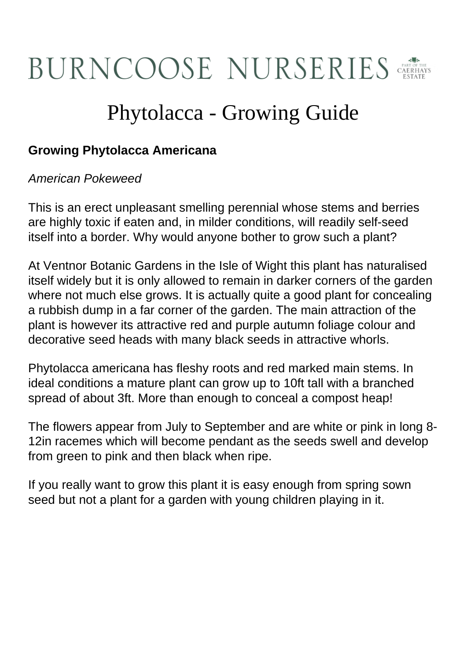## **BURNCOOSE NURSERIES**

## Phytolacca - Growing Guide

## **Growing Phytolacca Americana**

## American Pokeweed

This is an erect unpleasant smelling perennial whose stems and berries are highly toxic if eaten and, in milder conditions, will readily self-seed itself into a border. Why would anyone bother to grow such a plant?

At Ventnor Botanic Gardens in the Isle of Wight this plant has naturalised itself widely but it is only allowed to remain in darker corners of the garden where not much else grows. It is actually quite a good plant for concealing a rubbish dump in a far corner of the garden. The main attraction of the plant is however its attractive red and purple autumn foliage colour and decorative seed heads with many black seeds in attractive whorls.

Phytolacca americana has fleshy roots and red marked main stems. In ideal conditions a mature plant can grow up to 10ft tall with a branched spread of about 3ft. More than enough to conceal a compost heap!

The flowers appear from July to September and are white or pink in long 8- 12in racemes which will become pendant as the seeds swell and develop from green to pink and then black when ripe.

If you really want to grow this plant it is easy enough from spring sown seed but not a plant for a garden with young children playing in it.